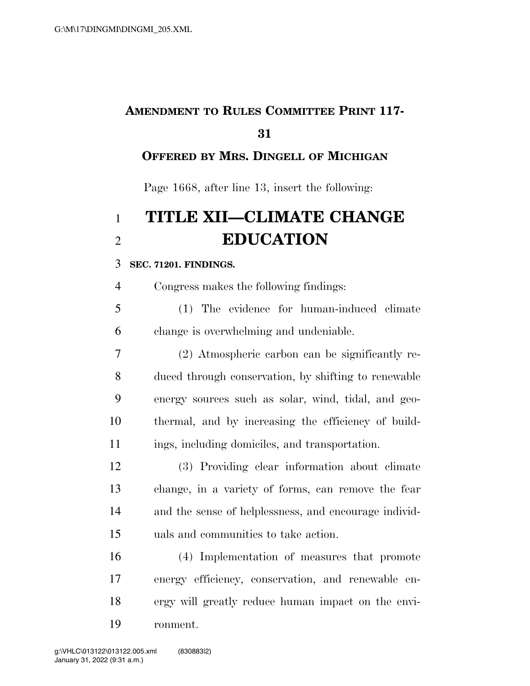# **AMENDMENT TO RULES COMMITTEE PRINT 117-**

## **OFFERED BY MRS. DINGELL OF MICHIGAN**

Page 1668, after line 13, insert the following:

# **TITLE XII—CLIMATE CHANGE EDUCATION**

### **SEC. 71201. FINDINGS.**

Congress makes the following findings:

 (1) The evidence for human-induced climate change is overwhelming and undeniable.

 (2) Atmospheric carbon can be significantly re- duced through conservation, by shifting to renewable energy sources such as solar, wind, tidal, and geo- thermal, and by increasing the efficiency of build-ings, including domiciles, and transportation.

 (3) Providing clear information about climate change, in a variety of forms, can remove the fear and the sense of helplessness, and encourage individ-uals and communities to take action.

 (4) Implementation of measures that promote energy efficiency, conservation, and renewable en- ergy will greatly reduce human impact on the envi-ronment.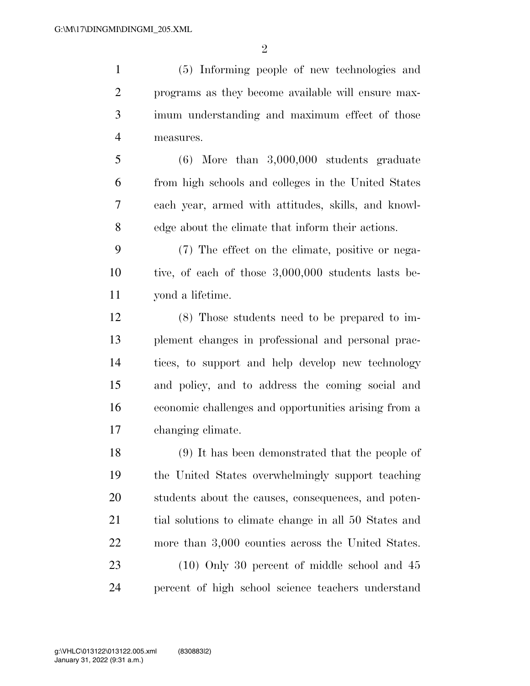$\mathfrak{D}$ 

 (5) Informing people of new technologies and programs as they become available will ensure max- imum understanding and maximum effect of those measures.

 (6) More than 3,000,000 students graduate from high schools and colleges in the United States each year, armed with attitudes, skills, and knowl-edge about the climate that inform their actions.

 (7) The effect on the climate, positive or nega- tive, of each of those 3,000,000 students lasts be-yond a lifetime.

 (8) Those students need to be prepared to im- plement changes in professional and personal prac- tices, to support and help develop new technology and policy, and to address the coming social and economic challenges and opportunities arising from a changing climate.

 (9) It has been demonstrated that the people of the United States overwhelmingly support teaching students about the causes, consequences, and poten- tial solutions to climate change in all 50 States and more than 3,000 counties across the United States. 23 (10) Only 30 percent of middle school and 45 percent of high school science teachers understand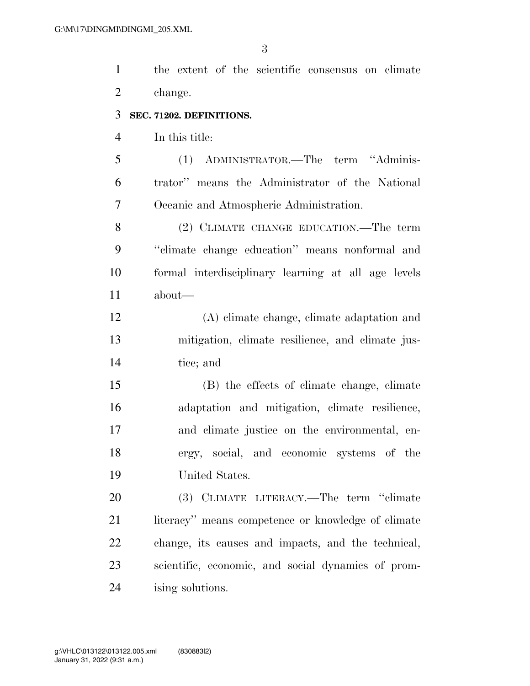the extent of the scientific consensus on climate change.

#### **SEC. 71202. DEFINITIONS.**

In this title:

 (1) ADMINISTRATOR.—The term ''Adminis- trator'' means the Administrator of the National Oceanic and Atmospheric Administration.

 (2) CLIMATE CHANGE EDUCATION.—The term ''climate change education'' means nonformal and formal interdisciplinary learning at all age levels about—

 (A) climate change, climate adaptation and mitigation, climate resilience, and climate jus-tice; and

 (B) the effects of climate change, climate adaptation and mitigation, climate resilience, and climate justice on the environmental, en- ergy, social, and economic systems of the United States.

 (3) CLIMATE LITERACY.—The term ''climate 21 literacy'' means competence or knowledge of climate change, its causes and impacts, and the technical, scientific, economic, and social dynamics of prom-ising solutions.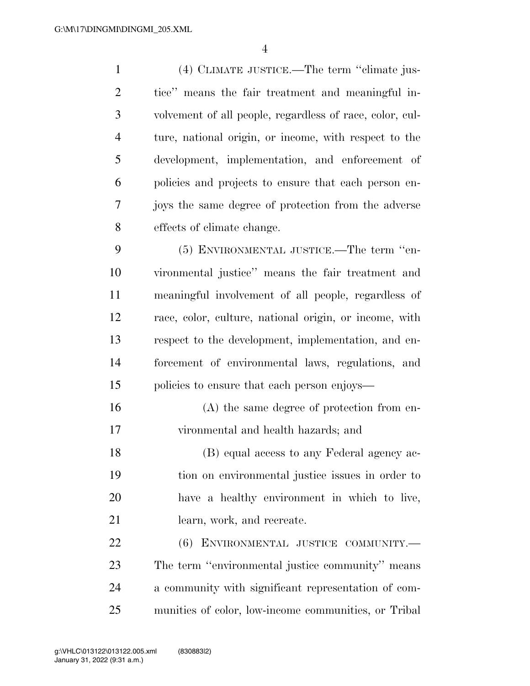(4) CLIMATE JUSTICE.—The term ''climate jus- tice'' means the fair treatment and meaningful in- volvement of all people, regardless of race, color, cul- ture, national origin, or income, with respect to the development, implementation, and enforcement of policies and projects to ensure that each person en- joys the same degree of protection from the adverse effects of climate change.

 (5) ENVIRONMENTAL JUSTICE.—The term ''en- vironmental justice'' means the fair treatment and meaningful involvement of all people, regardless of race, color, culture, national origin, or income, with respect to the development, implementation, and en- forcement of environmental laws, regulations, and policies to ensure that each person enjoys—

 (A) the same degree of protection from en-vironmental and health hazards; and

 (B) equal access to any Federal agency ac- tion on environmental justice issues in order to have a healthy environment in which to live, learn, work, and recreate.

 (6) ENVIRONMENTAL JUSTICE COMMUNITY.— The term ''environmental justice community'' means a community with significant representation of com-munities of color, low-income communities, or Tribal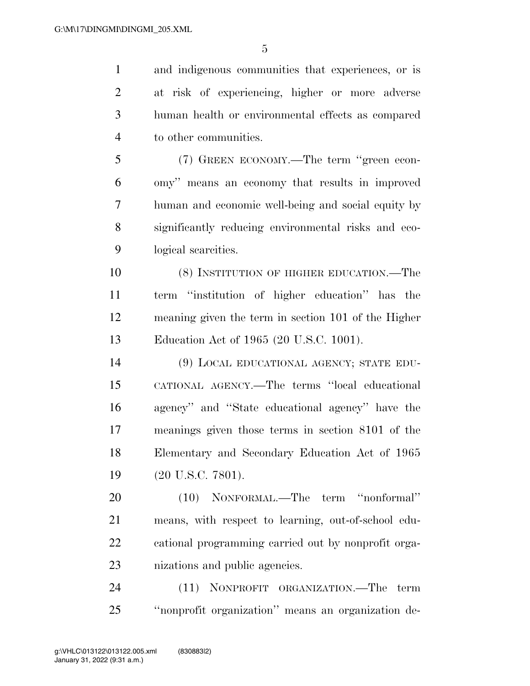and indigenous communities that experiences, or is at risk of experiencing, higher or more adverse human health or environmental effects as compared to other communities.

 (7) GREEN ECONOMY.—The term ''green econ- omy'' means an economy that results in improved human and economic well-being and social equity by significantly reducing environmental risks and eco-logical scarcities.

 (8) INSTITUTION OF HIGHER EDUCATION.—The term ''institution of higher education'' has the meaning given the term in section 101 of the Higher Education Act of 1965 (20 U.S.C. 1001).

 (9) LOCAL EDUCATIONAL AGENCY; STATE EDU- CATIONAL AGENCY.—The terms ''local educational agency'' and ''State educational agency'' have the meanings given those terms in section 8101 of the Elementary and Secondary Education Act of 1965 19 (20 U.S.C. 7801).

 (10) NONFORMAL.—The term ''nonformal'' means, with respect to learning, out-of-school edu- cational programming carried out by nonprofit orga-nizations and public agencies.

 (11) NONPROFIT ORGANIZATION.—The term ''nonprofit organization'' means an organization de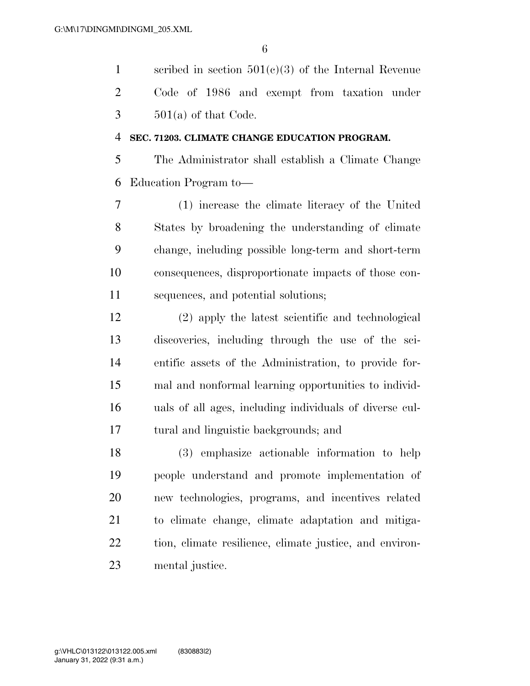scribed in section 501(c)(3) of the Internal Revenue Code of 1986 and exempt from taxation under  $3 \qquad 501(a)$  of that Code.

#### **SEC. 71203. CLIMATE CHANGE EDUCATION PROGRAM.**

 The Administrator shall establish a Climate Change Education Program to—

 (1) increase the climate literacy of the United States by broadening the understanding of climate change, including possible long-term and short-term consequences, disproportionate impacts of those con-sequences, and potential solutions;

 (2) apply the latest scientific and technological discoveries, including through the use of the sci- entific assets of the Administration, to provide for- mal and nonformal learning opportunities to individ- uals of all ages, including individuals of diverse cul-tural and linguistic backgrounds; and

 (3) emphasize actionable information to help people understand and promote implementation of new technologies, programs, and incentives related to climate change, climate adaptation and mitiga- tion, climate resilience, climate justice, and environ-mental justice.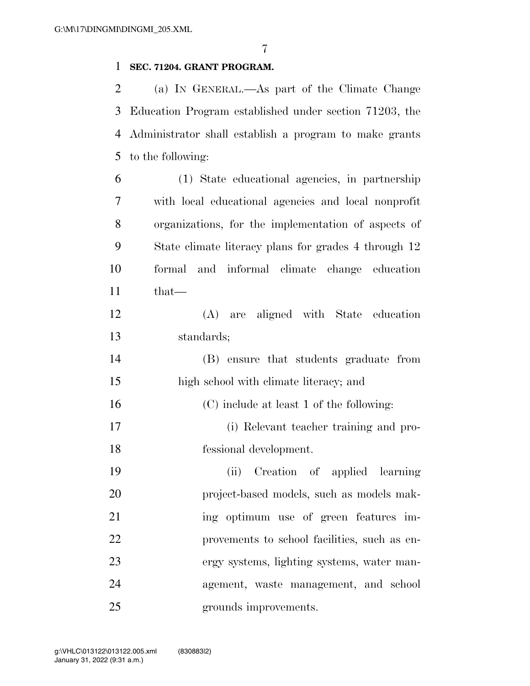#### **SEC. 71204. GRANT PROGRAM.**

 (a) IN GENERAL.—As part of the Climate Change Education Program established under section 71203, the Administrator shall establish a program to make grants to the following:

- (1) State educational agencies, in partnership with local educational agencies and local nonprofit organizations, for the implementation of aspects of State climate literacy plans for grades 4 through 12 formal and informal climate change education that—
- (A) are aligned with State education standards;
- (B) ensure that students graduate from high school with climate literacy; and
- (C) include at least 1 of the following:
- (i) Relevant teacher training and pro-fessional development.
- (ii) Creation of applied learning project-based models, such as models mak-21 ing optimum use of green features im- provements to school facilities, such as en- ergy systems, lighting systems, water man- agement, waste management, and school grounds improvements.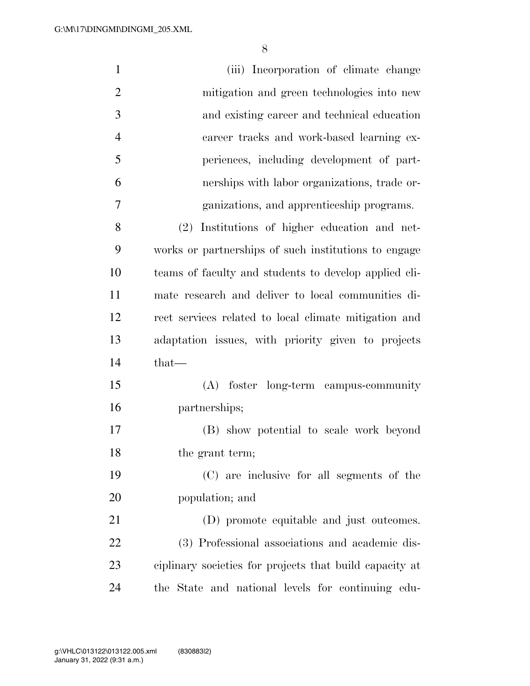| $\mathbf{1}$   | (iii) Incorporation of climate change                   |
|----------------|---------------------------------------------------------|
| $\overline{2}$ | mitigation and green technologies into new              |
| 3              | and existing career and technical education             |
| $\overline{4}$ | career tracks and work-based learning ex-               |
| 5              | periences, including development of part-               |
| 6              | nerships with labor organizations, trade or-            |
| 7              | ganizations, and apprenticeship programs.               |
| 8              | (2) Institutions of higher education and net-           |
| 9              | works or partnerships of such institutions to engage    |
| 10             | teams of faculty and students to develop applied cli-   |
| 11             | mate research and deliver to local communities di-      |
| 12             | rect services related to local climate mitigation and   |
| 13             | adaptation issues, with priority given to projects      |
| 14             | $that$ —                                                |
| 15             | (A) foster long-term campus-community                   |
| 16             | partnerships;                                           |
| 17             | (B) show potential to scale work beyond                 |
| 18             | the grant term;                                         |
| 19             | (C) are inclusive for all segments of the               |
| 20             | population; and                                         |
| 21             | (D) promote equitable and just outcomes.                |
| 22             | (3) Professional associations and academic dis-         |
| 23             | ciplinary societies for projects that build capacity at |
| 24             | the State and national levels for continuing edu-       |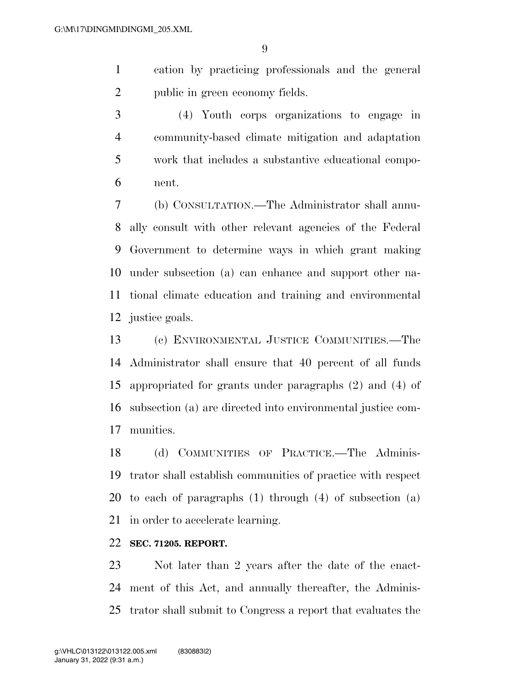cation by practicing professionals and the general public in green economy fields.

 (4) Youth corps organizations to engage in community-based climate mitigation and adaptation work that includes a substantive educational compo-nent.

 (b) CONSULTATION.—The Administrator shall annu- ally consult with other relevant agencies of the Federal Government to determine ways in which grant making under subsection (a) can enhance and support other na- tional climate education and training and environmental justice goals.

 (c) ENVIRONMENTAL JUSTICE COMMUNITIES.—The Administrator shall ensure that 40 percent of all funds appropriated for grants under paragraphs (2) and (4) of subsection (a) are directed into environmental justice com-munities.

 (d) COMMUNITIES OF PRACTICE.—The Adminis- trator shall establish communities of practice with respect to each of paragraphs (1) through (4) of subsection (a) in order to accelerate learning.

#### **SEC. 71205. REPORT.**

 Not later than 2 years after the date of the enact- ment of this Act, and annually thereafter, the Adminis-trator shall submit to Congress a report that evaluates the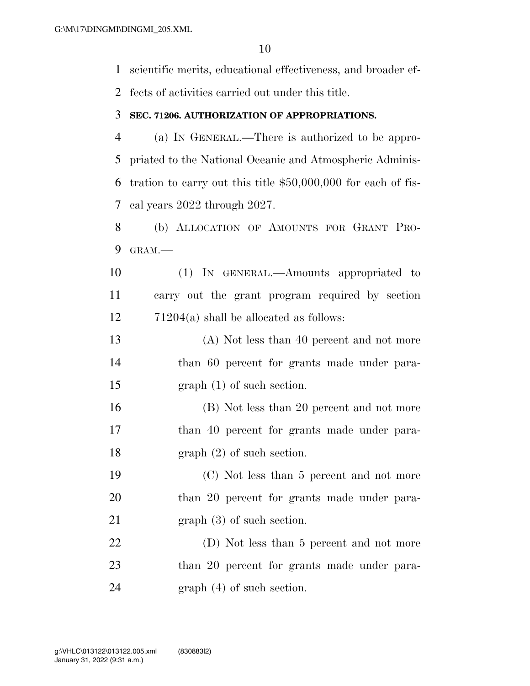scientific merits, educational effectiveness, and broader ef-

fects of activities carried out under this title.

#### **SEC. 71206. AUTHORIZATION OF APPROPRIATIONS.**

 (a) IN GENERAL.—There is authorized to be appro- priated to the National Oceanic and Atmospheric Adminis- tration to carry out this title \$50,000,000 for each of fis-cal years 2022 through 2027.

 (b) ALLOCATION OF AMOUNTS FOR GRANT PRO-GRAM.—

 (1) IN GENERAL.—Amounts appropriated to carry out the grant program required by section 71204(a) shall be allocated as follows:

 (A) Not less than 40 percent and not more than 60 percent for grants made under para-graph (1) of such section.

 (B) Not less than 20 percent and not more 17 than 40 percent for grants made under para-18 graph (2) of such section.

 (C) Not less than 5 percent and not more 20 than 20 percent for grants made under para-21 graph (3) of such section.

22 (D) Not less than 5 percent and not more 23 than 20 percent for grants made under para-24 graph (4) of such section.